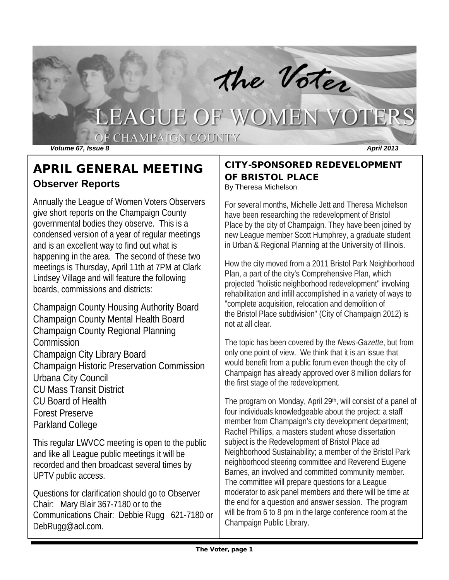

## APRIL GENERAL MEETING **Observer Reports**

Annually the League of Women Voters Observers give short reports on the Champaign County governmental bodies they observe. This is a condensed version of a year of regular meetings and is an excellent way to find out what is happening in the area. The second of these two meetings is Thursday, April 11th at 7PM at Clark Lindsey Village and will feature the following boards, commissions and districts:

Champaign County Housing Authority Board Champaign County Mental Health Board Champaign County Regional Planning **Commission** Champaign City Library Board Champaign Historic Preservation Commission Urbana City Council CU Mass Transit District CU Board of Health Forest Preserve Parkland College

This regular LWVCC meeting is open to the public and like all League public meetings it will be recorded and then broadcast several times by UPTV public access.

Questions for clarification should go to Observer Chair: Mary Blair 367-7180 or to the Communications Chair: Debbie Rugg 621-7180 or [DebRugg@aol.com.](mailto:DebRugg@aol.com)

## CITY-SPONSORED REDEVELOPMENT OF BRISTOL PLACE

By Theresa Michelson

For several months, Michelle Jett and Theresa Michelson have been researching the redevelopment of Bristol Place by the city of Champaign. They have been joined by new League member Scott Humphrey, a graduate student in Urban & Regional Planning at the University of Illinois.

How the city moved from a 2011 Bristol Park Neighborhood Plan, a part of the city's Comprehensive Plan, which projected "holistic neighborhood redevelopment" involving rehabilitation and infill accomplished in a variety of ways to "complete acquisition, relocation and demolition of the Bristol Place subdivision" (City of Champaign 2012) is not at all clear.

The topic has been covered by the *News-Gazette*, but from only one point of view. We think that it is an issue that would benefit from a public forum even though the city of Champaign has already approved over 8 million dollars for the first stage of the redevelopment.

The program on Monday, April 29th, will consist of a panel of four individuals knowledgeable about the project: a staff member from Champaign's city development department; Rachel Phillips, a masters student whose dissertation subject is the Redevelopment of Bristol Place ad Neighborhood Sustainability; a member of the Bristol Park neighborhood steering committee and Reverend Eugene Barnes, an involved and committed community member. The committee will prepare questions for a League moderator to ask panel members and there will be time at the end for a question and answer session. The program will be from 6 to 8 pm in the large conference room at the Champaign Public Library.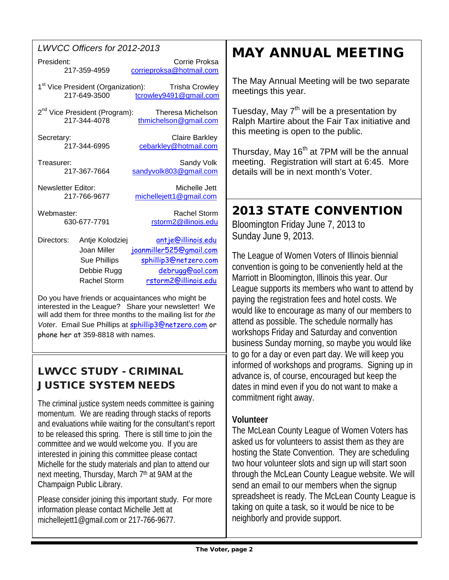### *LWVCC Officers for 2012-2013*

| President:                                                                            | Corrie Proksa<br>217-359-4959<br>corrieproksa@hotmail.com                                                                                                         |  |  |  |
|---------------------------------------------------------------------------------------|-------------------------------------------------------------------------------------------------------------------------------------------------------------------|--|--|--|
|                                                                                       | 1 <sup>st</sup> Vice President (Organization): Trisha Crowley<br>217-649-3500<br>tcrowley9491@gmail.com                                                           |  |  |  |
|                                                                                       | 2 <sup>nd</sup> Vice President (Program):<br><b>Theresa Michelson</b><br>217-344-4078<br>thmichelson@gmail.com                                                    |  |  |  |
| Secretary:                                                                            | <b>Claire Barkley</b><br>217-344-6995<br>cebarkley@hotmail.com                                                                                                    |  |  |  |
| Treasurer:                                                                            | Sandy Volk<br>217-367-7664<br>sandyvolk803@gmail.com                                                                                                              |  |  |  |
| <b>Newsletter Editor:</b><br>Michelle Jett<br>217-766-9677<br>michellejett1@gmail.com |                                                                                                                                                                   |  |  |  |
| <b>Rachel Storm</b><br>Webmaster:<br>630-677-7791<br>rstorm2@illinois.edu             |                                                                                                                                                                   |  |  |  |
| Directors:                                                                            | antje@illinois.edu<br>Antje Kolodziej<br>joanmiller525@gmail.com<br>Joan Miller<br><b>Sue Phillips</b><br>sphillip3@netzero.com<br>debrugg@gol.com<br>Debbie Ruaa |  |  |  |

Do you have friends or acquaintances who might be interested in the League? Share your newsletter! We will add them for three months to the mailing list for *the Voter*. Email Sue Phillips at [sphillip3@netzero.com](mailto:sphillip3@netzero.com) or phone her at 359-8818 with names.

Rachel Storm [rstorm2@illinois.edu](mailto:rstorm2@illinois.edu)

## LWVCC STUDY - CRIMINAL JUSTICE SYSTEM NEEDS

The criminal justice system needs committee is gaining momentum. We are reading through stacks of reports and evaluations while waiting for the consultant's report to be released this spring. There is still time to join the committee and we would welcome you. If you are interested in joining this committee please contact Michelle for the study materials and plan to attend our next meeting, Thursday, March 7<sup>th</sup> at 9AM at the Champaign Public Library.

Please consider joining this important study. For more information please contact Michelle Jett at michellejett1@gmail.com or 217-766-9677.

# MAY ANNUAL MEETING

The May Annual Meeting will be two separate meetings this year.

Tuesday, May 7<sup>th</sup> will be a presentation by Ralph Martire about the Fair Tax initiative and this meeting is open to the public.

Thursday, May 16<sup>th</sup> at 7PM will be the annual meeting. Registration will start at 6:45. More details will be in next month's Voter.

## 2013 STATE CONVENTION

Bloomington Friday June 7, 2013 to Sunday June 9, 2013.

The League of Women Voters of Illinois biennial convention is going to be conveniently held at the Marriott in Bloomington, Illinois this year. Our League supports its members who want to attend by paying the registration fees and hotel costs. We would like to encourage as many of our members to attend as possible. The schedule normally has workshops Friday and Saturday and convention business Sunday morning, so maybe you would like to go for a day or even part day. We will keep you informed of workshops and programs. Signing up in advance is, of course, encouraged but keep the dates in mind even if you do not want to make a commitment right away.

## **Volunteer**

The McLean County League of Women Voters has asked us for volunteers to assist them as they are hosting the State Convention. They are scheduling two hour volunteer slots and sign up will start soon through the McLean County League website. We will send an email to our members when the signup spreadsheet is ready. The McLean County League is taking on quite a task, so it would be nice to be neighborly and provide support.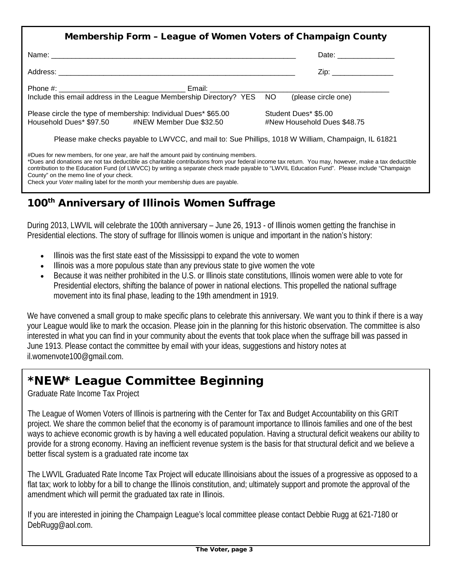| Membership Form - League of Women Voters of Champaign County                                                                                                                                                                                |                                                     |  |  |
|---------------------------------------------------------------------------------------------------------------------------------------------------------------------------------------------------------------------------------------------|-----------------------------------------------------|--|--|
|                                                                                                                                                                                                                                             | Date: __________________                            |  |  |
|                                                                                                                                                                                                                                             | Zip: _________________                              |  |  |
|                                                                                                                                                                                                                                             |                                                     |  |  |
| Please circle the type of membership: Individual Dues* \$65.00<br>Household Dues* \$97.50 #NEW Member Due \$32.50                                                                                                                           | Student Dues* \$5.00<br>#New Household Dues \$48.75 |  |  |
| Please make checks payable to LWVCC, and mail to: Sue Phillips, 1018 W William, Champaign, IL 61821                                                                                                                                         |                                                     |  |  |
| #Dues for new members, for one year, are half the amount paid by continuing members.<br>*Dues and donations are not tax deductible as charitable contributions from your federal income tax return. You may, however, make a tax deductible |                                                     |  |  |

contribution to the Education Fund (of LWVCC) by writing a separate check made payable to "LWVIL Education Fund". Please include "Champaign County" on the memo line of your check. Check your *Voter* mailing label for the month your membership dues are payable.

## 100<sup>th</sup> Anniversary of Illinois Women Suffrage

During 2013, LWVIL will celebrate the 100th anniversary – June 26, 1913 - of Illinois women getting the franchise in Presidential elections. The story of suffrage for Illinois women is unique and important in the nation's history:

- Illinois was the first state east of the Mississippi to expand the vote to women
- Illinois was a more populous state than any previous state to give women the vote
- Because it was neither prohibited in the U.S. or Illinois state constitutions, Illinois women were able to vote for Presidential electors, shifting the balance of power in national elections. This propelled the national suffrage movement into its final phase, leading to the 19th amendment in 1919.

We have convened a small group to make specific plans to celebrate this anniversary. We want you to think if there is a way your League would like to mark the occasion. Please join in the planning for this historic observation. The committee is also interested in what you can find in your community about the events that took place when the suffrage bill was passed in June 1913. Please contact the committee by email with your ideas, suggestions and history notes at [il.womenvote100@gmail.com.](mailto:il.womenvote100@gmail.com)

## \*NEW\* League Committee Beginning

Graduate Rate Income Tax Project

The League of Women Voters of Illinois is partnering with the [Center for Tax and Budget Accountability](http://www.ctbaonline.org/) on this GRIT project. We share the common belief that the economy is of paramount importance to Illinois families and one of the best ways to achieve economic growth is by having a well educated population. Having a structural deficit weakens our ability to provide for a strong economy. Having an inefficient revenue system is the basis for that structural deficit and we believe a better fiscal system is a graduated rate income tax

The LWVIL Graduated Rate Income Tax Project will educate Illinoisians about the issues of a progressive as opposed to a flat tax; work to lobby for a bill to change the Illinois constitution, and; ultimately support and promote the approval of the amendment which will permit the graduated tax rate in Illinois.

If you are interested in joining the Champaign League's local committee please contact Debbie Rugg at 621-7180 or [DebRugg@aol.com.](mailto:DebRugg@aol.com)